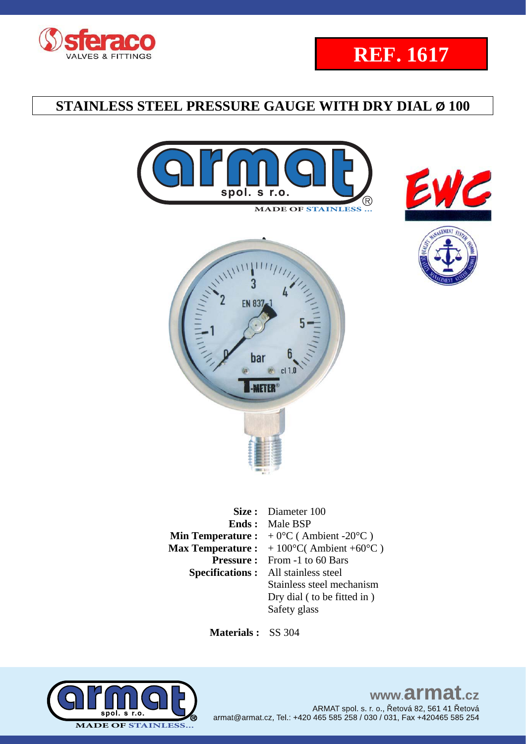





**REF. 1617**



|                          | Size: Diameter 100                               |
|--------------------------|--------------------------------------------------|
|                          | <b>Ends:</b> Male BSP                            |
|                          | <b>Min Temperature :</b> $+0$ °C (Ambient -20°C) |
| <b>Max Temperature :</b> | $+100\textdegree$ C(Ambient +60 $\textdegree$ C) |
|                          | <b>Pressure:</b> From -1 to 60 Bars              |
|                          | <b>Specifications:</b> All stainless steel       |
|                          | Stainless steel mechanism                        |
|                          | Dry dial (to be fitted in)                       |
|                          | Safety glass                                     |

 **Materials :** SS 304



### www.armat.cz ARMAT spol. s. r. o., Řetová 82, 561 41 Řetová armat@armat.cz, Tel.: +420 465 585 258 / 030 / 031, Fax +420465 585 254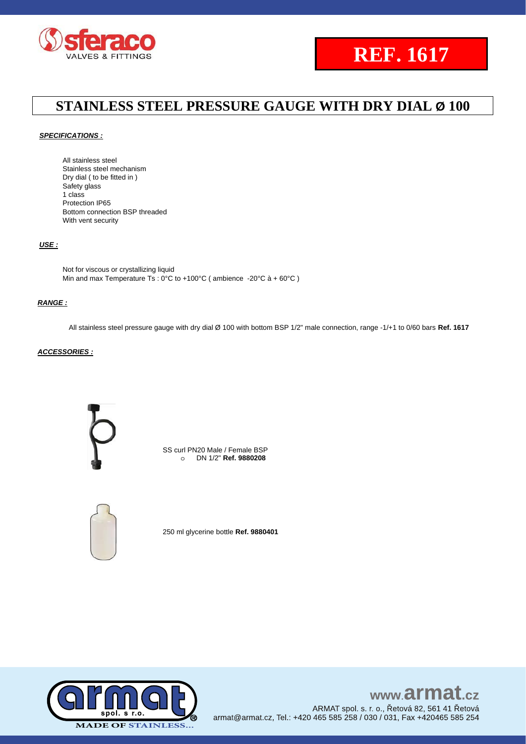

# **REF. 1617**

## **STAINLESS STEEL PRESSURE GAUGE WITH DRY DIAL Ø 100**

### *SPECIFICATIONS :*

All stainless steel Stainless steel mechanism Dry dial ( to be fitted in ) Safety glass 1 class Protection IP65 Bottom connection BSP threaded With vent security

#### *USE :*

Not for viscous or crystallizing liquid Min and max Temperature Ts : 0°C to +100°C (ambience -20°C à + 60°C)

#### *RANGE :*

All stainless steel pressure gauge with dry dial Ø 100 with bottom BSP 1/2" male connection, range -1/+1 to 0/60 bars **Ref. 1617**

### *ACCESSORIES :*



SS curl PN20 Male / Female BSP o DN 1/2" **Ref. 9880208**



250 ml glycerine bottle **Ref. 9880401**



## www.armat.cz

ARMAT spol. s. r. o., Řetová 82, 561 41 Řetová armat@armat.cz, Tel.: +420 465 585 258 / 030 / 031, Fax +420465 585 254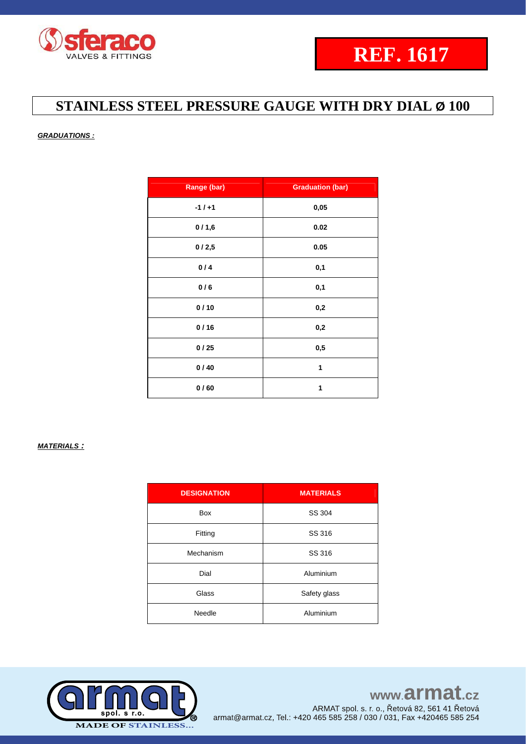

### *GRADUATIONS :*

| Range (bar) | <b>Graduation (bar)</b> |
|-------------|-------------------------|
| $-1/+1$     | 0,05                    |
| 0/1,6       | 0.02                    |
| 0/2,5       | 0.05                    |
| 0/4         | 0,1                     |
| 0/6         | 0,1                     |
| 0/10        | 0,2                     |
| 0/16        | 0,2                     |
| 0/25        | 0,5                     |
| 0/40        | 1                       |
| 0/60        | 1                       |

### *MATERIALS :*

| <b>DESIGNATION</b> | <b>MATERIALS</b> |
|--------------------|------------------|
| Box                | SS 304           |
| Fitting            | SS 316           |
| Mechanism          | SS 316           |
| Dial               | Aluminium        |
| Glass              | Safety glass     |
| Needle             | Aluminium        |

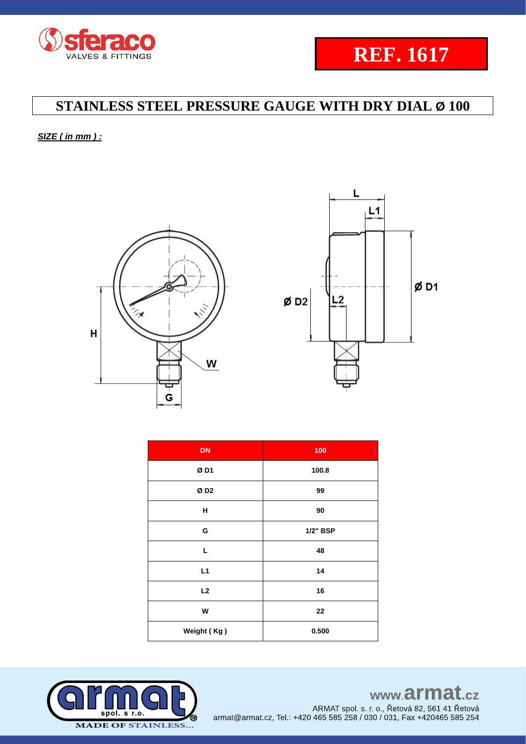

*SIZE ( in mm ) :* 





| <b>DN</b>       | 100      |
|-----------------|----------|
| ØD1             | 100.8    |
| ØD <sub>2</sub> | 99       |
| н               | 90       |
| G               | 1/2" BSP |
| L               | 48       |
| L1              | 14       |
| L2              | 16       |
| W               | 22       |
| Weight (Kg)     | 0.500    |